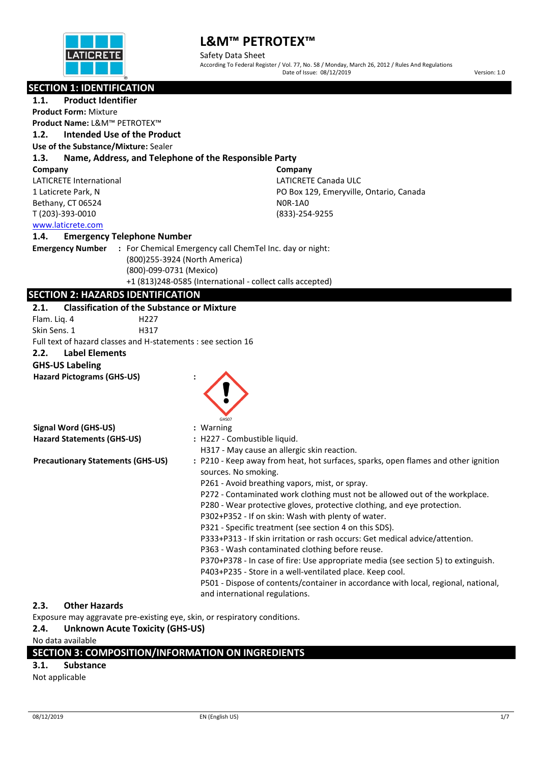

Safety Data Sheet According To Federal Register / Vol. 77, No. 58 / Monday, March 26, 2012 / Rules And Regulations Date of Issue: 08/12/2019 Version: 1.0

**Company**

N0R-1A0 (833)-254-9255

LATICRETE Canada ULC

PO Box 129, Emeryville, Ontario, Canada

### **SECTION 1: IDENTIFICATION**

**1.1. Product Identifier Product Form:** Mixture **Product Name:** L&M™ PETROTEX™

### **1.2. Intended Use of the Product**

**Use of the Substance/Mixture:** Sealer

#### **1.3. Name, Address, and Telephone of the Responsible Party**

**Company**

LATICRETE International 1 Laticrete Park, N Bethany, CT 06524 T (203)-393-0010

[www.laticrete.com](http://www.laticrete.com/) 

#### **1.4. Emergency Telephone Number**

**Emergency Number :** For Chemical Emergency call ChemTel Inc. day or night: (800)255-3924 (North America) (800)-099-0731 (Mexico) +1 (813)248-0585 (International - collect calls accepted)

### **SECTION 2: HAZARDS IDENTIFICATION**

#### **2.1. Classification of the Substance or Mixture**

Flam. Liq. 4 H227 Skin Sens. 1 H317 Full text of hazard classes and H-statements : see section 16 **2.2. Label Elements**

#### **GHS-US Labeling**

**Hazard Pictograms (GHS-US) :**

|                                          | GHS07                                                                                                                |
|------------------------------------------|----------------------------------------------------------------------------------------------------------------------|
| Signal Word (GHS-US)                     | : Warning                                                                                                            |
| <b>Hazard Statements (GHS-US)</b>        | : H227 - Combustible liquid.                                                                                         |
|                                          | H317 - May cause an allergic skin reaction.                                                                          |
| <b>Precautionary Statements (GHS-US)</b> | : P210 - Keep away from heat, hot surfaces, sparks, open flames and other ignition<br>sources. No smoking.           |
|                                          | P261 - Avoid breathing vapors, mist, or spray.                                                                       |
|                                          | P272 - Contaminated work clothing must not be allowed out of the workplace.                                          |
|                                          | P280 - Wear protective gloves, protective clothing, and eye protection.                                              |
|                                          | P302+P352 - If on skin: Wash with plenty of water.                                                                   |
|                                          | P321 - Specific treatment (see section 4 on this SDS).                                                               |
|                                          | P333+P313 - If skin irritation or rash occurs: Get medical advice/attention.                                         |
|                                          | P363 - Wash contaminated clothing before reuse.                                                                      |
|                                          | P370+P378 - In case of fire: Use appropriate media (see section 5) to extinguish.                                    |
|                                          | P403+P235 - Store in a well-ventilated place. Keep cool.                                                             |
|                                          | P501 - Dispose of contents/container in accordance with local, regional, national,<br>and international regulations. |

### **2.3. Other Hazards**

Exposure may aggravate pre-existing eye, skin, or respiratory conditions.

### **2.4. Unknown Acute Toxicity (GHS-US)**

No data available

### **SECTION 3: COMPOSITION/INFORMATION ON INGREDIENTS**

### **3.1. Substance**

Not applicable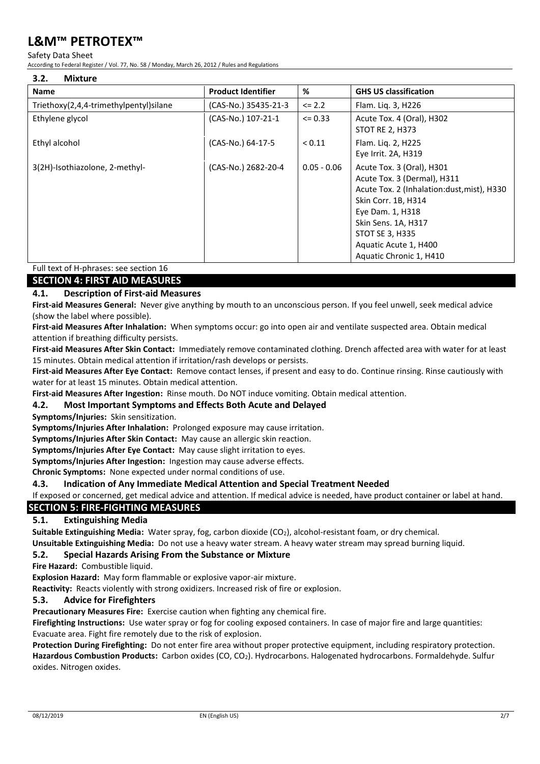#### Safety Data Sheet

According to Federal Register / Vol. 77, No. 58 / Monday, March 26, 2012 / Rules and Regulations

| 3.2.<br><b>Mixture</b>                 |                           |               |                                                                                                                                                                                                                                                 |
|----------------------------------------|---------------------------|---------------|-------------------------------------------------------------------------------------------------------------------------------------------------------------------------------------------------------------------------------------------------|
| <b>Name</b>                            | <b>Product Identifier</b> | %             | <b>GHS US classification</b>                                                                                                                                                                                                                    |
| Triethoxy(2,4,4-trimethylpentyl)silane | (CAS-No.) 35435-21-3      | $\leq$ 2.2    | Flam. Liq. 3, H226                                                                                                                                                                                                                              |
| Ethylene glycol                        | (CAS-No.) 107-21-1        | $\leq 0.33$   | Acute Tox. 4 (Oral), H302<br>STOT RE 2, H373                                                                                                                                                                                                    |
| Ethyl alcohol                          | (CAS-No.) 64-17-5         | < 0.11        | Flam. Lig. 2, H225<br>Eye Irrit. 2A, H319                                                                                                                                                                                                       |
| 3(2H)-Isothiazolone, 2-methyl-         | (CAS-No.) 2682-20-4       | $0.05 - 0.06$ | Acute Tox. 3 (Oral), H301<br>Acute Tox. 3 (Dermal), H311<br>Acute Tox. 2 (Inhalation:dust, mist), H330<br>Skin Corr. 1B, H314<br>Eye Dam. 1, H318<br>Skin Sens. 1A, H317<br>STOT SE 3, H335<br>Aquatic Acute 1, H400<br>Aquatic Chronic 1, H410 |

### Full text of H-phrases: see section 16

**SECTION 4: FIRST AID MEASURES**

### **4.1. Description of First-aid Measures**

**First-aid Measures General:** Never give anything by mouth to an unconscious person. If you feel unwell, seek medical advice (show the label where possible).

**First-aid Measures After Inhalation:** When symptoms occur: go into open air and ventilate suspected area. Obtain medical attention if breathing difficulty persists.

**First-aid Measures After Skin Contact:** Immediately remove contaminated clothing. Drench affected area with water for at least 15 minutes. Obtain medical attention if irritation/rash develops or persists.

**First-aid Measures After Eye Contact:** Remove contact lenses, if present and easy to do. Continue rinsing. Rinse cautiously with water for at least 15 minutes. Obtain medical attention.

**First-aid Measures After Ingestion:** Rinse mouth. Do NOT induce vomiting. Obtain medical attention.

### **4.2. Most Important Symptoms and Effects Both Acute and Delayed**

**Symptoms/Injuries:** Skin sensitization.

**Symptoms/Injuries After Inhalation:** Prolonged exposure may cause irritation.

**Symptoms/Injuries After Skin Contact:** May cause an allergic skin reaction.

**Symptoms/Injuries After Eye Contact:** May cause slight irritation to eyes.

**Symptoms/Injuries After Ingestion:** Ingestion may cause adverse effects.

**Chronic Symptoms:** None expected under normal conditions of use.

**4.3. Indication of Any Immediate Medical Attention and Special Treatment Needed**

If exposed or concerned, get medical advice and attention. If medical advice is needed, have product container or label at hand.

### **SECTION 5: FIRE-FIGHTING MEASURES**

### **5.1. Extinguishing Media**

**Suitable Extinguishing Media:** Water spray, fog, carbon dioxide (CO2), alcohol-resistant foam, or dry chemical.

**Unsuitable Extinguishing Media:** Do not use a heavy water stream. A heavy water stream may spread burning liquid.

### **5.2. Special Hazards Arising From the Substance or Mixture**

**Fire Hazard:** Combustible liquid.

**Explosion Hazard:** May form flammable or explosive vapor-air mixture.

**Reactivity:** Reacts violently with strong oxidizers. Increased risk of fire or explosion.

### **5.3. Advice for Firefighters**

**Precautionary Measures Fire:** Exercise caution when fighting any chemical fire.

**Firefighting Instructions:** Use water spray or fog for cooling exposed containers. In case of major fire and large quantities: Evacuate area. Fight fire remotely due to the risk of explosion.

**Protection During Firefighting:** Do not enter fire area without proper protective equipment, including respiratory protection. **Hazardous Combustion Products:** Carbon oxides (CO, CO2). Hydrocarbons. Halogenated hydrocarbons. Formaldehyde. Sulfur oxides. Nitrogen oxides.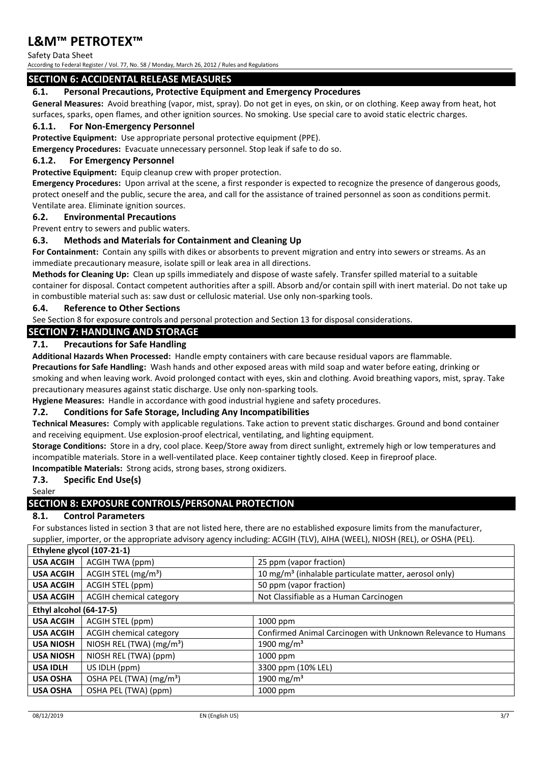Safety Data Sheet

According to Federal Register / Vol. 77, No. 58 / Monday, March 26, 2012 / Rules and Regulations

### **SECTION 6: ACCIDENTAL RELEASE MEASURES**

### **6.1. Personal Precautions, Protective Equipment and Emergency Procedures**

**General Measures:** Avoid breathing (vapor, mist, spray). Do not get in eyes, on skin, or on clothing. Keep away from heat, hot surfaces, sparks, open flames, and other ignition sources. No smoking. Use special care to avoid static electric charges.

### **6.1.1. For Non-Emergency Personnel**

**Protective Equipment:** Use appropriate personal protective equipment (PPE).

**Emergency Procedures:** Evacuate unnecessary personnel. Stop leak if safe to do so.

### **6.1.2. For Emergency Personnel**

**Protective Equipment:** Equip cleanup crew with proper protection.

**Emergency Procedures:** Upon arrival at the scene, a first responder is expected to recognize the presence of dangerous goods, protect oneself and the public, secure the area, and call for the assistance of trained personnel as soon as conditions permit. Ventilate area. Eliminate ignition sources.

#### **6.2. Environmental Precautions**

Prevent entry to sewers and public waters.

### **6.3. Methods and Materials for Containment and Cleaning Up**

**For Containment:** Contain any spills with dikes or absorbents to prevent migration and entry into sewers or streams. As an immediate precautionary measure, isolate spill or leak area in all directions.

**Methods for Cleaning Up:** Clean up spills immediately and dispose of waste safely. Transfer spilled material to a suitable container for disposal. Contact competent authorities after a spill. Absorb and/or contain spill with inert material. Do not take up in combustible material such as: saw dust or cellulosic material. Use only non-sparking tools.

### **6.4. Reference to Other Sections**

See Section 8 for exposure controls and personal protection and Section 13 for disposal considerations.

### **SECTION 7: HANDLING AND STORAGE**

### **7.1. Precautions for Safe Handling**

**Additional Hazards When Processed:** Handle empty containers with care because residual vapors are flammable.

**Precautions for Safe Handling:** Wash hands and other exposed areas with mild soap and water before eating, drinking or smoking and when leaving work. Avoid prolonged contact with eyes, skin and clothing. Avoid breathing vapors, mist, spray. Take precautionary measures against static discharge. Use only non-sparking tools.

**Hygiene Measures:** Handle in accordance with good industrial hygiene and safety procedures.

### **7.2. Conditions for Safe Storage, Including Any Incompatibilities**

**Technical Measures:** Comply with applicable regulations. Take action to prevent static discharges. Ground and bond container and receiving equipment. Use explosion-proof electrical, ventilating, and lighting equipment.

**Storage Conditions:** Store in a dry, cool place. Keep/Store away from direct sunlight, extremely high or low temperatures and incompatible materials. Store in a well-ventilated place. Keep container tightly closed. Keep in fireproof place.

**Incompatible Materials:** Strong acids, strong bases, strong oxidizers.

### **7.3. Specific End Use(s)**

Sealer

### **SECTION 8: EXPOSURE CONTROLS/PERSONAL PROTECTION**

### **8.1. Control Parameters**

For substances listed in section 3 that are not listed here, there are no established exposure limits from the manufacturer, supplier, importer, or the appropriate advisory agency including: ACGIH (TLV), AIHA (WEEL), NIOSH (REL), or OSHA (PEL).

| Ethylene glycol (107-21-1) |                                     |                                                                   |  |
|----------------------------|-------------------------------------|-------------------------------------------------------------------|--|
| <b>USA ACGIH</b>           | ACGIH TWA (ppm)                     | 25 ppm (vapor fraction)                                           |  |
| <b>USA ACGIH</b>           | ACGIH STEL (mg/m <sup>3</sup> )     | 10 mg/m <sup>3</sup> (inhalable particulate matter, aerosol only) |  |
| <b>USA ACGIH</b>           | ACGIH STEL (ppm)                    | 50 ppm (vapor fraction)                                           |  |
| <b>USA ACGIH</b>           | ACGIH chemical category             | Not Classifiable as a Human Carcinogen                            |  |
| Ethyl alcohol (64-17-5)    |                                     |                                                                   |  |
| <b>USA ACGIH</b>           | ACGIH STEL (ppm)                    | 1000 ppm                                                          |  |
| <b>USA ACGIH</b>           | <b>ACGIH chemical category</b>      | Confirmed Animal Carcinogen with Unknown Relevance to Humans      |  |
| <b>USA NIOSH</b>           | NIOSH REL (TWA) $(mg/m3)$           | 1900 mg/m <sup>3</sup>                                            |  |
| <b>USA NIOSH</b>           | NIOSH REL (TWA) (ppm)               | 1000 ppm                                                          |  |
| <b>USA IDLH</b>            | US IDLH (ppm)                       | 3300 ppm (10% LEL)                                                |  |
| <b>USA OSHA</b>            | OSHA PEL (TWA) (mg/m <sup>3</sup> ) | 1900 mg/m <sup>3</sup>                                            |  |
| <b>USA OSHA</b>            | OSHA PEL (TWA) (ppm)                | 1000 ppm                                                          |  |
|                            |                                     |                                                                   |  |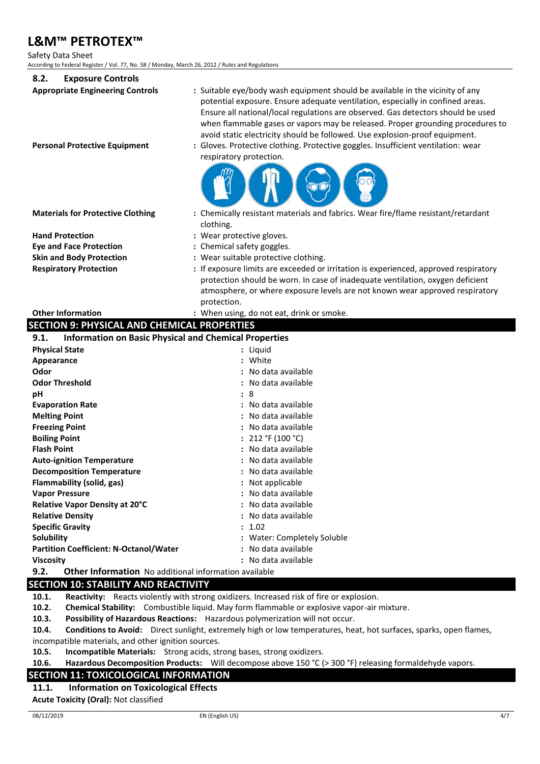Safety Data Sheet

According to Federal Register / Vol. 77, No. 58 / Monday, March 26, 2012 / Rules and Regulations

| According to Federal Register / Vol. 77, No. 58 / Monday, March 26, 2012 / Rules and Regulations |                                                                                                                                                                                                                                                                                                                                                                                                                                                                                                         |  |  |
|--------------------------------------------------------------------------------------------------|---------------------------------------------------------------------------------------------------------------------------------------------------------------------------------------------------------------------------------------------------------------------------------------------------------------------------------------------------------------------------------------------------------------------------------------------------------------------------------------------------------|--|--|
| 8.2.<br><b>Exposure Controls</b>                                                                 |                                                                                                                                                                                                                                                                                                                                                                                                                                                                                                         |  |  |
| <b>Appropriate Engineering Controls</b><br><b>Personal Protective Equipment</b>                  | : Suitable eye/body wash equipment should be available in the vicinity of any<br>potential exposure. Ensure adequate ventilation, especially in confined areas.<br>Ensure all national/local regulations are observed. Gas detectors should be used<br>when flammable gases or vapors may be released. Proper grounding procedures to<br>avoid static electricity should be followed. Use explosion-proof equipment.<br>Gloves. Protective clothing. Protective goggles. Insufficient ventilation: wear |  |  |
|                                                                                                  | respiratory protection.                                                                                                                                                                                                                                                                                                                                                                                                                                                                                 |  |  |
| <b>Materials for Protective Clothing</b>                                                         | : Chemically resistant materials and fabrics. Wear fire/flame resistant/retardant<br>clothing.                                                                                                                                                                                                                                                                                                                                                                                                          |  |  |
| <b>Hand Protection</b>                                                                           | : Wear protective gloves.                                                                                                                                                                                                                                                                                                                                                                                                                                                                               |  |  |
| <b>Eye and Face Protection</b>                                                                   | : Chemical safety goggles.                                                                                                                                                                                                                                                                                                                                                                                                                                                                              |  |  |
| <b>Skin and Body Protection</b>                                                                  | : Wear suitable protective clothing.                                                                                                                                                                                                                                                                                                                                                                                                                                                                    |  |  |
| <b>Respiratory Protection</b>                                                                    | : If exposure limits are exceeded or irritation is experienced, approved respiratory                                                                                                                                                                                                                                                                                                                                                                                                                    |  |  |
|                                                                                                  | protection should be worn. In case of inadequate ventilation, oxygen deficient<br>atmosphere, or where exposure levels are not known wear approved respiratory<br>protection.                                                                                                                                                                                                                                                                                                                           |  |  |
| <b>Other Information</b>                                                                         | : When using, do not eat, drink or smoke.                                                                                                                                                                                                                                                                                                                                                                                                                                                               |  |  |
| <b>SECTION 9: PHYSICAL AND CHEMICAL PROPERTIES</b>                                               |                                                                                                                                                                                                                                                                                                                                                                                                                                                                                                         |  |  |
| <b>Information on Basic Physical and Chemical Properties</b><br>9.1.                             |                                                                                                                                                                                                                                                                                                                                                                                                                                                                                                         |  |  |
| <b>Physical State</b>                                                                            | : Liquid                                                                                                                                                                                                                                                                                                                                                                                                                                                                                                |  |  |
| Appearance                                                                                       | : White                                                                                                                                                                                                                                                                                                                                                                                                                                                                                                 |  |  |
| Odor                                                                                             | : No data available                                                                                                                                                                                                                                                                                                                                                                                                                                                                                     |  |  |
| <b>Odor Threshold</b>                                                                            | : No data available                                                                                                                                                                                                                                                                                                                                                                                                                                                                                     |  |  |
| рH                                                                                               | : 8                                                                                                                                                                                                                                                                                                                                                                                                                                                                                                     |  |  |
| <b>Evaporation Rate</b>                                                                          | : No data available                                                                                                                                                                                                                                                                                                                                                                                                                                                                                     |  |  |
| <b>Melting Point</b>                                                                             | : No data available                                                                                                                                                                                                                                                                                                                                                                                                                                                                                     |  |  |
| <b>Freezing Point</b>                                                                            | : No data available                                                                                                                                                                                                                                                                                                                                                                                                                                                                                     |  |  |
| <b>Boiling Point</b>                                                                             | : $212 °F (100 °C)$                                                                                                                                                                                                                                                                                                                                                                                                                                                                                     |  |  |
| <b>Flash Point</b>                                                                               | : No data available                                                                                                                                                                                                                                                                                                                                                                                                                                                                                     |  |  |
| <b>Auto-ignition Temperature</b>                                                                 | : No data available                                                                                                                                                                                                                                                                                                                                                                                                                                                                                     |  |  |
| <b>Decomposition Temperature</b>                                                                 | : No data available                                                                                                                                                                                                                                                                                                                                                                                                                                                                                     |  |  |
| Flammability (solid, gas)                                                                        | : Not applicable                                                                                                                                                                                                                                                                                                                                                                                                                                                                                        |  |  |
| <b>Vapor Pressure</b>                                                                            | : No data available                                                                                                                                                                                                                                                                                                                                                                                                                                                                                     |  |  |
| Relative Vapor Density at 20°C                                                                   | : No data available                                                                                                                                                                                                                                                                                                                                                                                                                                                                                     |  |  |
| <b>Relative Density</b>                                                                          | : No data available                                                                                                                                                                                                                                                                                                                                                                                                                                                                                     |  |  |
| <b>Specific Gravity</b>                                                                          | : 1.02                                                                                                                                                                                                                                                                                                                                                                                                                                                                                                  |  |  |
| <b>Solubility</b>                                                                                | : Water: Completely Soluble                                                                                                                                                                                                                                                                                                                                                                                                                                                                             |  |  |
| <b>Partition Coefficient: N-Octanol/Water</b>                                                    | : No data available                                                                                                                                                                                                                                                                                                                                                                                                                                                                                     |  |  |

**Viscosity :** No data available

**9.2. Other Information** No additional information available

### **SECTION 10: STABILITY AND REACTIVITY**

**10.1. Reactivity:** Reacts violently with strong oxidizers. Increased risk of fire or explosion.

**10.2. Chemical Stability:** Combustible liquid. May form flammable or explosive vapor-air mixture.

**10.3. Possibility of Hazardous Reactions:** Hazardous polymerization will not occur.

**10.4. Conditions to Avoid:** Direct sunlight, extremely high or low temperatures, heat, hot surfaces, sparks, open flames, incompatible materials, and other ignition sources.

**10.5. Incompatible Materials:** Strong acids, strong bases, strong oxidizers.

**10.6. Hazardous Decomposition Products:** Will decompose above 150 °C (> 300 °F) releasing formaldehyde vapors.

### **SECTION 11: TOXICOLOGICAL INFORMATION**

### **11.1. Information on Toxicological Effects**

**Acute Toxicity (Oral):** Not classified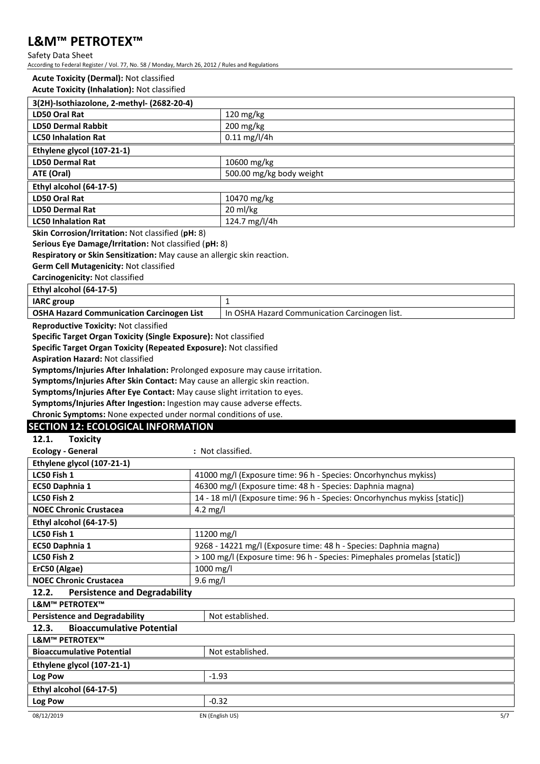Safety Data Sheet

According to Federal Register / Vol. 77, No. 58 / Monday, March 26, 2012 / Rules and Regulations

#### **Acute Toxicity (Dermal):** Not classified

| 3(2H)-Isothiazolone, 2-methyl- (2682-20-4) |                          |  |
|--------------------------------------------|--------------------------|--|
| LD50 Oral Rat                              | $120 \text{ mg/kg}$      |  |
| <b>LD50 Dermal Rabbit</b>                  | $200$ mg/kg              |  |
| <b>LC50 Inhalation Rat</b>                 | $0.11$ mg/l/4h           |  |
| Ethylene glycol (107-21-1)                 |                          |  |
| <b>LD50 Dermal Rat</b>                     | 10600 mg/kg              |  |
| ATE (Oral)                                 | 500.00 mg/kg body weight |  |
| Ethyl alcohol (64-17-5)                    |                          |  |
| LD50 Oral Rat                              | 10470 mg/kg              |  |
| <b>LD50 Dermal Rat</b>                     | 20 ml/kg                 |  |
| <b>LC50 Inhalation Rat</b>                 | 124.7 mg/l/4h            |  |

**Skin Corrosion/Irritation:** Not classified (**pH:** 8)

**Serious Eye Damage/Irritation:** Not classified (**pH:** 8)

**Respiratory or Skin Sensitization:** May cause an allergic skin reaction.

**Germ Cell Mutagenicity:** Not classified

**Carcinogenicity:** Not classified

**Ethyl alcohol (64-17-5)**

| <b>IARC</b> group                                |                                               |
|--------------------------------------------------|-----------------------------------------------|
| <b>OSHA Hazard Communication Carcinogen List</b> | In OSHA Hazard Communication Carcinogen list. |
|                                                  |                                               |

**Reproductive Toxicity:** Not classified

**Specific Target Organ Toxicity (Single Exposure):** Not classified

**Specific Target Organ Toxicity (Repeated Exposure):** Not classified

**Aspiration Hazard:** Not classified

**Symptoms/Injuries After Inhalation:** Prolonged exposure may cause irritation.

**Symptoms/Injuries After Skin Contact:** May cause an allergic skin reaction.

**Symptoms/Injuries After Eye Contact:** May cause slight irritation to eyes.

**Symptoms/Injuries After Ingestion:** Ingestion may cause adverse effects.

**Chronic Symptoms:** None expected under normal conditions of use.

### **SECTION 12: ECOLOGICAL INFORMATION**

| 12.1.<br><b>Toxicity</b>                                 |                                                                            |  |
|----------------------------------------------------------|----------------------------------------------------------------------------|--|
| <b>Ecology - General</b>                                 | : Not classified.                                                          |  |
| Ethylene glycol (107-21-1)                               |                                                                            |  |
| LC50 Fish 1                                              | 41000 mg/l (Exposure time: 96 h - Species: Oncorhynchus mykiss)            |  |
| EC50 Daphnia 1                                           | 46300 mg/l (Exposure time: 48 h - Species: Daphnia magna)                  |  |
| LC50 Fish 2                                              | 14 - 18 ml/l (Exposure time: 96 h - Species: Oncorhynchus mykiss [static]) |  |
| <b>NOEC Chronic Crustacea</b>                            | 4.2 mg/l                                                                   |  |
| Ethyl alcohol (64-17-5)                                  |                                                                            |  |
| LC50 Fish 1                                              | 11200 mg/l                                                                 |  |
| EC50 Daphnia 1                                           | 9268 - 14221 mg/l (Exposure time: 48 h - Species: Daphnia magna)           |  |
| LC50 Fish 2                                              | > 100 mg/l (Exposure time: 96 h - Species: Pimephales promelas [static])   |  |
| ErC50 (Algae)                                            | 1000 mg/l                                                                  |  |
| <b>NOEC Chronic Crustacea</b>                            | $9.6$ mg/l                                                                 |  |
| <b>Persistence and Degradability</b><br>12.2.            |                                                                            |  |
| <b>L&amp;M™ PETROTEX™</b>                                |                                                                            |  |
| <b>Persistence and Degradability</b><br>Not established. |                                                                            |  |
| <b>Bioaccumulative Potential</b><br>12.3.                |                                                                            |  |
| <b>L&amp;M™ PETROTEX™</b>                                |                                                                            |  |
| <b>Bioaccumulative Potential</b>                         | Not established.                                                           |  |
| Ethylene glycol (107-21-1)                               |                                                                            |  |
| Log Pow                                                  | $-1.93$                                                                    |  |
| Ethyl alcohol (64-17-5)                                  |                                                                            |  |
| Log Pow                                                  | $-0.32$                                                                    |  |
|                                                          |                                                                            |  |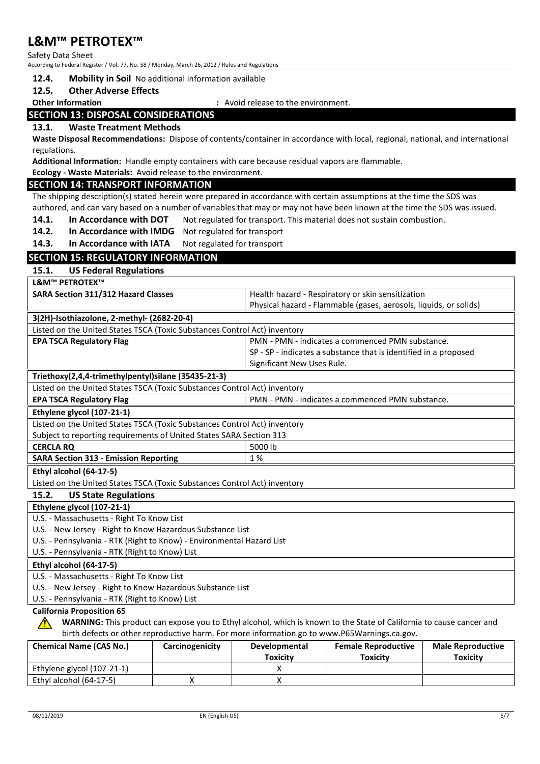Safety Data Sheet

According to Federal Register / Vol. 77, No. 58 / Monday, March 26, 2012 / Rules and Regulations

### **12.4. Mobility in Soil** No additional information available

#### **12.5. Other Adverse Effects**

**Other Information :** Avoid release to the environment.

### **SECTION 13: DISPOSAL CONSIDERATIONS**

### **13.1. Waste Treatment Methods**

**Waste Disposal Recommendations:** Dispose of contents/container in accordance with local, regional, national, and international regulations.

**Additional Information:** Handle empty containers with care because residual vapors are flammable.

#### **Ecology - Waste Materials:** Avoid release to the environment.

#### **SECTION 14: TRANSPORT INFORMATION**

The shipping description(s) stated herein were prepared in accordance with certain assumptions at the time the SDS was authored, and can vary based on a number of variables that may or may not have been known at the time the SDS was issued.

- **14.1. In Accordance with DOT** Not regulated for transport. This material does not sustain combustion.
- **14.2. In Accordance with IMDG** Not regulated for transport
- 14.3. In Accordance with IATA Not regulated for transport

### **SECTION 15: REGULATORY INFORMATION**

**15.1. US Federal Regulations**

**L&M™ PETROTEX™**

| <b>SARA Section 311/312 Hazard Classes</b>                                | Health hazard - Respiratory or skin sensitization                 |  |
|---------------------------------------------------------------------------|-------------------------------------------------------------------|--|
|                                                                           | Physical hazard - Flammable (gases, aerosols, liquids, or solids) |  |
| 3(2H)-Isothiazolone, 2-methyl- (2682-20-4)                                |                                                                   |  |
| Listed on the United States TSCA (Toxic Substances Control Act) inventory |                                                                   |  |
| <b>EPA TSCA Regulatory Flag</b>                                           | PMN - PMN - indicates a commenced PMN substance.                  |  |
|                                                                           | SP - SP - indicates a substance that is identified in a proposed  |  |
|                                                                           | Significant New Uses Rule.                                        |  |
| Triethoxy(2,4,4-trimethylpentyl)silane (35435-21-3)                       |                                                                   |  |
| Listed on the United States TSCA (Toxic Substances Control Act) inventory |                                                                   |  |
| <b>EPA TSCA Regulatory Flag</b>                                           | PMN - PMN - indicates a commenced PMN substance.                  |  |
| Ethylene glycol (107-21-1)                                                |                                                                   |  |
| Listed on the United States TSCA (Toxic Substances Control Act) inventory |                                                                   |  |
| Subject to reporting requirements of United States SARA Section 313       |                                                                   |  |
| <b>CERCLA RQ</b>                                                          | 5000 lb                                                           |  |
| <b>SARA Section 313 - Emission Reporting</b>                              | 1 %                                                               |  |
| Ethyl alcohol (64-17-5)                                                   |                                                                   |  |
| Listed on the United States TSCA (Toxic Substances Control Act) inventory |                                                                   |  |
| <b>US State Regulations</b><br>15.2.                                      |                                                                   |  |
| Ethylene glycol (107-21-1)                                                |                                                                   |  |
| U.S. - Massachusetts - Right To Know List                                 |                                                                   |  |
| U.S. - New Jersey - Right to Know Hazardous Substance List                |                                                                   |  |
| U.S. - Pennsylvania - RTK (Right to Know) - Environmental Hazard List     |                                                                   |  |
| U.S. - Pennsylvania - RTK (Right to Know) List                            |                                                                   |  |
| Ethyl alcohol (64-17-5)                                                   |                                                                   |  |

U.S. - Massachusetts - Right To Know List

U.S. - New Jersey - Right to Know Hazardous Substance List

U.S. - Pennsylvania - RTK (Right to Know) List

### **California Proposition 65**

**WARNING:** This product can expose you to Ethyl alcohol, which is known to the State of California to cause cancer and birth defects or other reproductive harm. For more information go to www.P65Warnings.ca.gov.

| <b>Chemical Name (CAS No.)</b> | Carcinogenicity | <b>Developmental</b> | <b>Female Reproductive</b> | <b>Male Reproductive</b> |
|--------------------------------|-----------------|----------------------|----------------------------|--------------------------|
|                                |                 | Toxicity             | Toxicitv                   | Toxicity                 |
| Ethylene glycol (107-21-1)     |                 |                      |                            |                          |
| Ethyl alcohol (64-17-5)        |                 |                      |                            |                          |

 $\sqrt{N}$